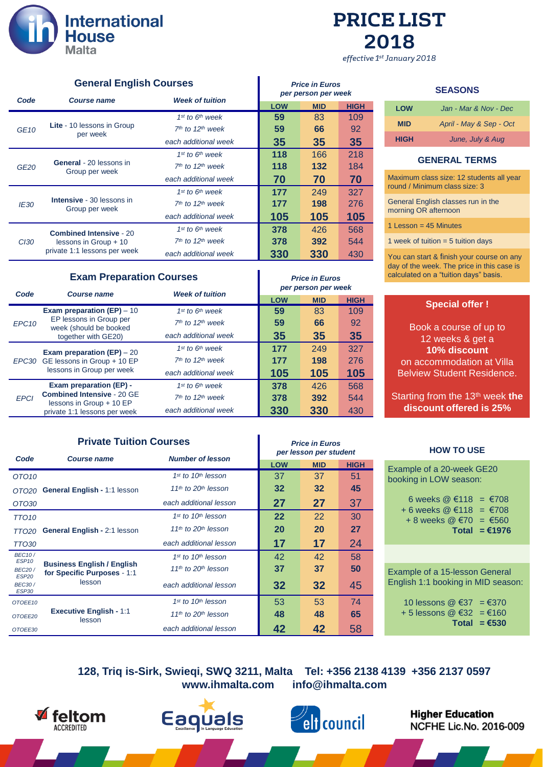

# **PRICE LIST** 2018

effective 1st January 2018

| <b>General English Courses</b> |                                                       | <b>Price in Euros</b><br>per person per week |            |            |             |
|--------------------------------|-------------------------------------------------------|----------------------------------------------|------------|------------|-------------|
| Code                           | <b>Course name</b>                                    | <b>Week of tuition</b>                       |            |            |             |
|                                |                                                       |                                              | <b>LOW</b> | <b>MID</b> | <b>HIGH</b> |
|                                |                                                       | $1st$ to $6th$ week                          | 59         | 83         | 109         |
| <b>GE10</b>                    | <b>Lite</b> - 10 lessons in Group<br>per week         | $7th$ to 12 <sup>th</sup> week               | 59         | 66         | 92          |
|                                |                                                       | each additional week                         | 35         | 35         | 35          |
|                                |                                                       | $1st$ to $6th$ week                          | 118        | 166        | 218         |
| GE <sub>20</sub>               | <b>General</b> - 20 lessons in<br>Group per week      | $7th$ to 12 <sup>th</sup> week               | 118        | 132        | 184         |
|                                |                                                       | each additional week                         | 70         | 70         | 70          |
|                                |                                                       | $1st$ to $6th$ week                          | 177        | 249        | 327         |
| IE30                           | <b>Intensive</b> - 30 lessons in<br>Group per week    | $7th$ to 12 <sup>th</sup> week               | 177        | 198        | 276         |
|                                |                                                       | each additional week                         | 105        | 105        | 105         |
|                                | <b>Combined Intensive - 20</b>                        | $1st$ to $6th$ week                          | 378        | 426        | 568         |
| C <sub>130</sub>               | lessons in Group + 10<br>private 1:1 lessons per week | $7th$ to 12 <sup>th</sup> week               | 378        | 392        | 544         |
|                                |                                                       | each additional week                         | 330        | 330        | 430         |

# **Exam Preparation Courses Price in Euros**

| Code                              | <b>Course name</b>                                                       | <b>Week of tuition</b>         |            | per person per week |             |
|-----------------------------------|--------------------------------------------------------------------------|--------------------------------|------------|---------------------|-------------|
|                                   |                                                                          |                                | <b>LOW</b> | <b>MID</b>          | <b>HIGH</b> |
|                                   | Exam preparation $(EP) - 10$                                             | $1st$ to $6th$ week            | 59         | 83                  | 109         |
| EPC10                             | EP lessons in Group per<br>week (should be booked<br>together with GE20) | $7th$ to 12 <sup>th</sup> week | 59         | 66                  | 92          |
|                                   |                                                                          | each additional week           | 35         | 35                  | 35          |
|                                   | Exam preparation (EP) $-20$                                              | $1st$ to $6th$ week            | 177        | 249                 | 327         |
| EPC30 GE lessons in Group + 10 EP | $7th$ to 12 <sup>th</sup> week                                           | 177                            | 198        | 276                 |             |
|                                   | lessons in Group per week                                                | each additional week           | 105        | 105                 | 105         |
|                                   | Exam preparation (EP) -                                                  | 1st to 6th week                | 378        | 426                 | 568         |
| <b>EPCI</b>                       | <b>Combined Intensive - 20 GE</b><br>lessons in Group + 10 EP            | $7th$ to 12 <sup>th</sup> week | 378        | 392                 | 544         |
|                                   | private 1:1 lessons per week                                             | each additional week           | 330        | 330                 | 430         |

# **Private Tuition Courses Private Tuition Courses**

|                                                    | <b>Number of lesson</b><br>Code<br><b>Course name</b>            |                                             | per lesson per student |                 |             |  |
|----------------------------------------------------|------------------------------------------------------------------|---------------------------------------------|------------------------|-----------------|-------------|--|
|                                                    |                                                                  |                                             | <b>LOW</b>             | <b>MID</b>      | <b>HIGH</b> |  |
| OTO <sub>10</sub>                                  |                                                                  | $1st$ to $10th$ lesson                      | 37                     | 37              | 51          |  |
| OTO20                                              | General English - 1:1 lesson                                     | 11 <sup>th</sup> to 20 <sup>th</sup> lesson | 32                     | 32 <sub>2</sub> | 45          |  |
| OTO30                                              |                                                                  | each additional lesson                      | 27                     | 27              | 37          |  |
| TTO <sub>10</sub>                                  |                                                                  | 1st to 10th lesson                          | $22 \,$                | 22              | 30          |  |
| TTO20                                              | <b>General English - 2:1 lesson</b>                              | 11 <sup>th</sup> to $20th$ lesson           | 20                     | 20              | 27          |  |
| <b>TTO30</b>                                       |                                                                  | each additional lesson                      | 17                     | 17              | 24          |  |
| <b>BEC10/</b><br>ESP <sub>10</sub>                 | <b>Business English / English</b><br>for Specific Purposes - 1:1 | 1st to 10th lesson                          | 42                     | 42              | 58          |  |
| <b>BEC20/</b>                                      |                                                                  | 11 <sup>th</sup> to 20 <sup>th</sup> lesson | 37                     | 37              | 50          |  |
| ESP <sub>20</sub><br><b>BEC30/</b><br><b>ESP30</b> | lesson                                                           | each additional lesson                      | 32                     | 32              | 45          |  |
| OTOEE10                                            |                                                                  | $1st$ to $10th$ lesson                      | 53                     | 53              | 74          |  |
| OTOEE20                                            | <b>Executive English - 1:1</b><br>lesson                         | 11 <sup>th</sup> to 20 <sup>th</sup> lesson | 48                     | 48              | 65          |  |
| OTOEE30                                            |                                                                  | each additional lesson                      | 42                     | 42              | 58          |  |

### **SEASONS**

| LOW         | Jan - Mar & Nov - Dec   |
|-------------|-------------------------|
| <b>MID</b>  | April - May & Sep - Oct |
| <b>HIGH</b> | June, July & Aug        |

# **GENERAL TERMS**

Maximum class size: 12 students all year round / Minimum class size: 3

General English classes run in the morning OR afternoon

1 Lesson = 45 Minutes

1 week of tuition  $= 5$  tuition days

You can start & finish your course on any day of the week. The price in this case is calculated on a "tuition days" basis.

# **Special offer !**

Book a course of up to 12 weeks & get a **10% discount** on accommodation at Villa Belview Student Residence.

Starting from the 13<sup>th</sup> week the **discount offered is 25%**

#### **HOW TO USE**

| Example of a 20-week GE20<br>booking in LOW season:                        |                 |
|----------------------------------------------------------------------------|-----------------|
| 6 weeks @ €118 = €708<br>+ 6 weeks @ €118 = €708<br>+ 8 weeks @ €70 = €560 | Total = $€1976$ |

Example of a 15-lesson General English 1:1 booking in MID season:

|                          | Total $= \epsilon$ 530 |
|--------------------------|------------------------|
| + 5 lessons @ €32 = €160 |                        |
| 10 lessons @ €37 = €370  |                        |

**128, Triq is-Sirk, Swieqi, SWQ 3211, Malta Tel: +356 2138 4139 +356 2137 0597 www.ihmalta.com info@ihmalta.com**







**Higher Education** NCFHE Lic.No. 2016-009